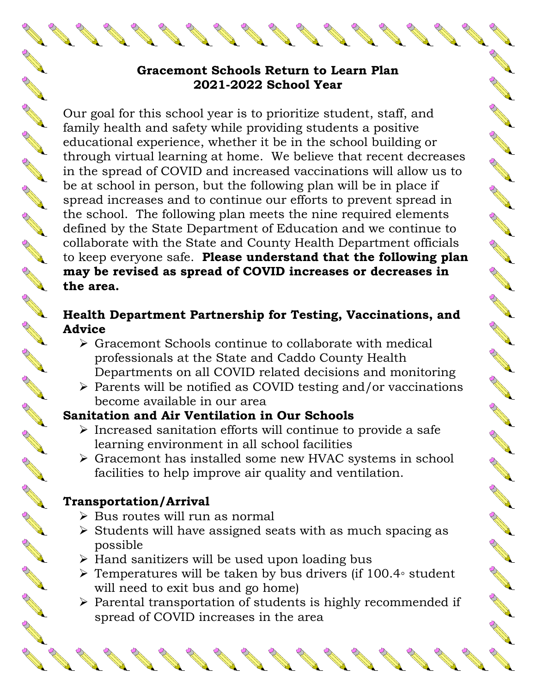#### **Gracemont Schools Return to Learn Plan 2021-2022 School Year**

Our goal for this school year is to prioritize student, staff, and family health and safety while providing students a positive educational experience, whether it be in the school building or through virtual learning at home. We believe that recent decreases in the spread of COVID and increased vaccinations will allow us to be at school in person, but the following plan will be in place if spread increases and to continue our efforts to prevent spread in the school. The following plan meets the nine required elements defined by the State Department of Education and we continue to collaborate with the State and County Health Department officials to keep everyone safe. **Please understand that the following plan may be revised as spread of COVID increases or decreases in the area.**

**Contraction Contraction Contraction Contraction Contraction Contraction Contraction Contraction Contraction Contraction Contraction Contraction Contraction Contraction Contraction Contraction Contraction Contraction Contr** 

NA REA

SE STRIKE

A ALLA

A MA

**AND SOLU** 

NAN R

RA RE

A March

Chance of the

No recent of

Control R

A March

### **Health Department Partnership for Testing, Vaccinations, and Advice**

- Gracemont Schools continue to collaborate with medical professionals at the State and Caddo County Health Departments on all COVID related decisions and monitoring
- $\triangleright$  Parents will be notified as COVID testing and/or vaccinations become available in our area

## **Sanitation and Air Ventilation in Our Schools**

- $\triangleright$  Increased sanitation efforts will continue to provide a safe learning environment in all school facilities
- Gracemont has installed some new HVAC systems in school facilities to help improve air quality and ventilation.

# **Transportation/Arrival**

**ANTI** 

A A A

**ANTI** 

**RAVIS** 

**AND** 

A A A

**RANT** 

A REA

**ANTI** 

**ANTI** 

RANT REA

AND ROAD

A A R

B RAY

Control 20

A A R

AND ROAD

AND P

A March

**ANTICOLOGICAL CONTENTION** 

- $\triangleright$  Bus routes will run as normal
- $\triangleright$  Students will have assigned seats with as much spacing as possible
- $\triangleright$  Hand sanitizers will be used upon loading bus
- Temperatures will be taken by bus drivers (if 100.4◦ student will need to exit bus and go home)
- $\triangleright$  Parental transportation of students is highly recommended if spread of COVID increases in the area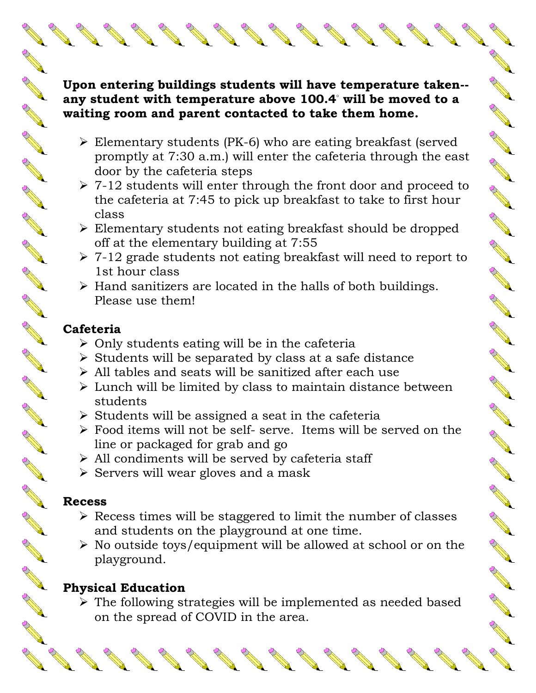#### **Upon entering buildings students will have temperature taken- any student with temperature above 100.4◦ will be moved to a waiting room and parent contacted to take them home.**

AND TO

No recent de

COMPARTMENT

RA MAR

A A A

A A A

A A A

**ARCHIVES** 

**RANT** 

**RANTINO RE** 

**ANDER** 

AND ROAD

A REA

**RAWARENTER** 

NA RE

A March

A REA

A A R

New Read

Control of the

- Elementary students (PK-6) who are eating breakfast (served promptly at 7:30 a.m.) will enter the cafeteria through the east door by the cafeteria steps
- $\geq 7-12$  students will enter through the front door and proceed to the cafeteria at 7:45 to pick up breakfast to take to first hour class
- Elementary students not eating breakfast should be dropped off at the elementary building at 7:55
- $\geq 7-12$  grade students not eating breakfast will need to report to 1st hour class
- $\triangleright$  Hand sanitizers are located in the halls of both buildings. Please use them!

#### **Cafeteria**

**ANTICOLOGICAL CONTENTION** 

**AND** 

A ALLA

**AND READER** 

A AND RD

**ANTICOLOGICAL REPORT** 

AND P

**ANDER** 

**ANDER** 

**ANDER** 

RA A

RA A

A A R

A A R

**PALLER** 

A AND RD

**ANTICO** 

A RIVER

**ANTICO** 

AND TO

**ANTI** 

- $\triangleright$  Only students eating will be in the cafeteria
- $\triangleright$  Students will be separated by class at a safe distance
- All tables and seats will be sanitized after each use
- $\triangleright$  Lunch will be limited by class to maintain distance between students
- $\triangleright$  Students will be assigned a seat in the cafeteria
- Food items will not be self- serve. Items will be served on the line or packaged for grab and go
- $\triangleright$  All condiments will be served by cafeteria staff
- $\triangleright$  Servers will wear gloves and a mask

## **Recess**

- $\triangleright$  Recess times will be staggered to limit the number of classes and students on the playground at one time.
- $\triangleright$  No outside toys/equipment will be allowed at school or on the playground.

# **Physical Education**

 $\triangleright$  The following strategies will be implemented as needed based on the spread of COVID in the area.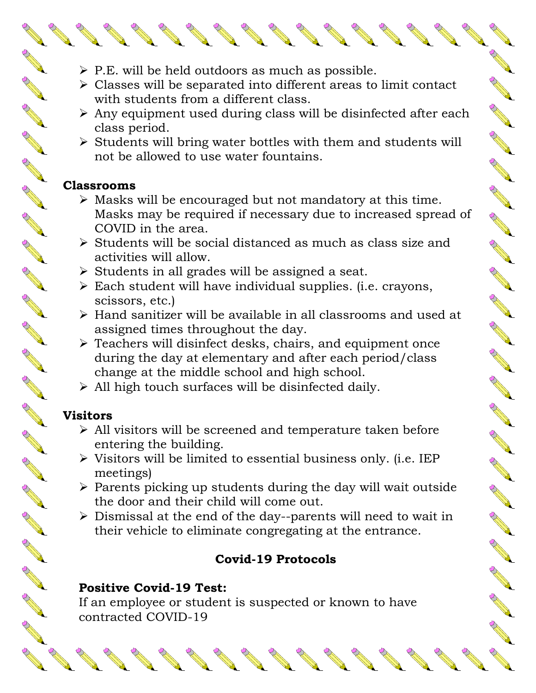- $\triangleright$  P.E. will be held outdoors as much as possible.
- Classes will be separated into different areas to limit contact with students from a different class.

A March 19

No recent de

RA A

**AND READER** 

New York Red

A RAIN

A ALLA

A ALLA

A A A

AND ROOM

**RANTINO REPORT** 

NAN R

AND ROAD

**AND AND AND** 

NA RE

B All R

- $\triangleright$  Any equipment used during class will be disinfected after each class period.
- $\triangleright$  Students will bring water bottles with them and students will not be allowed to use water fountains.

## **Classrooms**

AND ROAD

A A R

**AND READER** 

A A R

**ANDER** 

**ANDER** 

**AND** 

**ANDER** 

RA REA

A A R

A ALLA

**AND ROW** 

A A A

**ANTI** 

**AND READER** 

**ANTI** 

**AND READER** 

A RIVER

A A R

AND TO

A RA

- $\triangleright$  Masks will be encouraged but not mandatory at this time. Masks may be required if necessary due to increased spread of COVID in the area.
- $\triangleright$  Students will be social distanced as much as class size and activities will allow.
- $\triangleright$  Students in all grades will be assigned a seat.
- Each student will have individual supplies. (i.e. crayons, scissors, etc.)
- Hand sanitizer will be available in all classrooms and used at assigned times throughout the day.
- Teachers will disinfect desks, chairs, and equipment once during the day at elementary and after each period/class change at the middle school and high school.
- $\triangleright$  All high touch surfaces will be disinfected daily.

# **Visitors**

- All visitors will be screened and temperature taken before entering the building.
- $\triangleright$  Visitors will be limited to essential business only. (i.e. IEP meetings)
- $\triangleright$  Parents picking up students during the day will wait outside the door and their child will come out.
- $\triangleright$  Dismissal at the end of the day--parents will need to wait in their vehicle to eliminate congregating at the entrance.

# **Covid-19 Protocols**

## **Positive Covid-19 Test:**

If an employee or student is suspected or known to have contracted COVID-19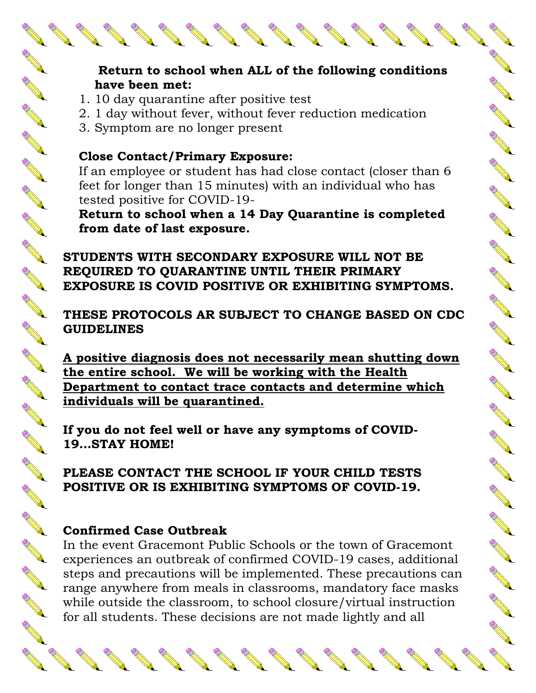### **Return to school when ALL of the following conditions have been met:**

AND TO

ACT AND A

Chance Re

No recent de

**AND READER** 

**CONTROLLER** 

**AND ROAD** 

Control of the

**ANDER** 

**Contract Contract Contract Contract Contract Contract Contract Contract Contract Contract Contract Contract Contract Contract Contract Contract Contract Contract Contract Contract Contract Contract Contract Contract Contr** 

Control of Control of Control of Control of Control of Control of Control of Control of Control of Control of Control of Control of Control of Control of Control of Control of Control of Control of Control of Control of Co

**Contraction Report** 

A March

A March

A REAL

A Read

No recent of the

**All Cardinal Cardinal Cardinal Cardinal Cardinal Cardinal Cardinal Cardinal Cardinal Cardinal Cardinal Cardin** 

A A Contract of the

- 1. 10 day quarantine after positive test
- 2. 1 day without fever, without fever reduction medication
- 3. Symptom are no longer present

A March

**ANTICOLOGICAL COMPANY** 

A A R

**ANTICOLOGICAL COMPANY** 

AND TO

**ANTI** 

**AND READER** 

**RAVIS** 

RAVIEW RD

**RAVIS** 

**RANT** 

**RANT** 

AND ROOM

AND ROAD

**RANCISCO RIVERSIDENTI** 

**ANTI** 

RANT R

COMPARTMENT

**ANTICOLOGICAL COMPANY** 

A REA

**AND** 

A Read

## **Close Contact/Primary Exposure:**

If an employee or student has had close contact (closer than 6 feet for longer than 15 minutes) with an individual who has tested positive for COVID-19-

**Return to school when a 14 Day Quarantine is completed from date of last exposure.**

**STUDENTS WITH SECONDARY EXPOSURE WILL NOT BE REQUIRED TO QUARANTINE UNTIL THEIR PRIMARY EXPOSURE IS COVID POSITIVE OR EXHIBITING SYMPTOMS.**

**THESE PROTOCOLS AR SUBJECT TO CHANGE BASED ON CDC GUIDELINES**

**A positive diagnosis does not necessarily mean shutting down the entire school. We will be working with the Health Department to contact trace contacts and determine which individuals will be quarantined.**

**If you do not feel well or have any symptoms of COVID-19…STAY HOME!**

**PLEASE CONTACT THE SCHOOL IF YOUR CHILD TESTS POSITIVE OR IS EXHIBITING SYMPTOMS OF COVID-19.**

## **Confirmed Case Outbreak**

In the event Gracemont Public Schools or the town of Gracemont experiences an outbreak of confirmed COVID-19 cases, additional steps and precautions will be implemented. These precautions can range anywhere from meals in classrooms, mandatory face masks while outside the classroom, to school closure/virtual instruction for all students. These decisions are not made lightly and all